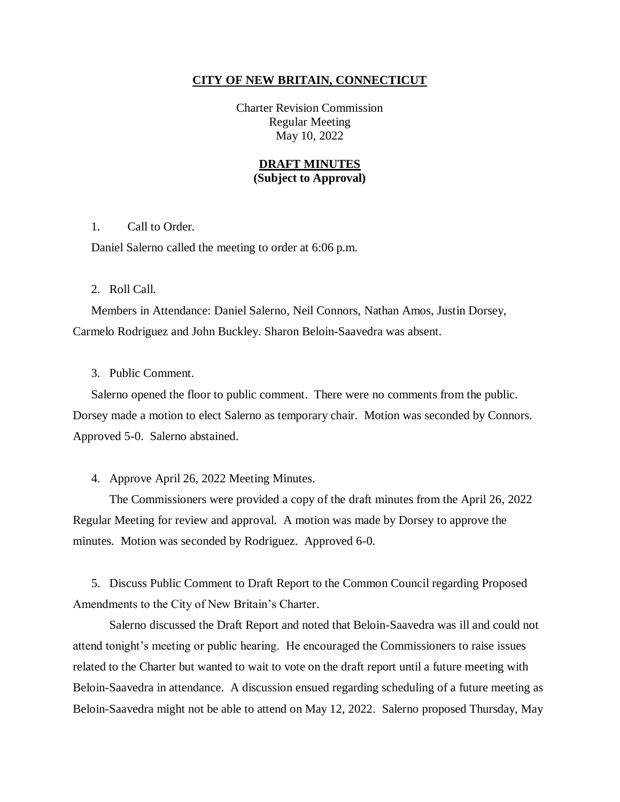## **CITY OF NEW BRITAIN, CONNECTICUT**

Charter Revision Commission Regular Meeting May 10, 2022

## **DRAFT MINUTES (Subject to Approval)**

## 1. Call to Order.

Daniel Salerno called the meeting to order at 6:06 p.m.

2. Roll Call.

Members in Attendance: Daniel Salerno, Neil Connors, Nathan Amos, Justin Dorsey, Carmelo Rodriguez and John Buckley. Sharon Beloin-Saavedra was absent.

3. Public Comment.

Salerno opened the floor to public comment. There were no comments from the public. Dorsey made a motion to elect Salerno as temporary chair. Motion was seconded by Connors. Approved 5-0. Salerno abstained.

4. Approve April 26, 2022 Meeting Minutes.

The Commissioners were provided a copy of the draft minutes from the April 26, 2022 Regular Meeting for review and approval. A motion was made by Dorsey to approve the minutes. Motion was seconded by Rodriguez. Approved 6-0.

 5. Discuss Public Comment to Draft Report to the Common Council regarding Proposed Amendments to the City of New Britain's Charter.

Salerno discussed the Draft Report and noted that Beloin-Saavedra was ill and could not attend tonight's meeting or public hearing. He encouraged the Commissioners to raise issues related to the Charter but wanted to wait to vote on the draft report until a future meeting with Beloin-Saavedra in attendance. A discussion ensued regarding scheduling of a future meeting as Beloin-Saavedra might not be able to attend on May 12, 2022. Salerno proposed Thursday, May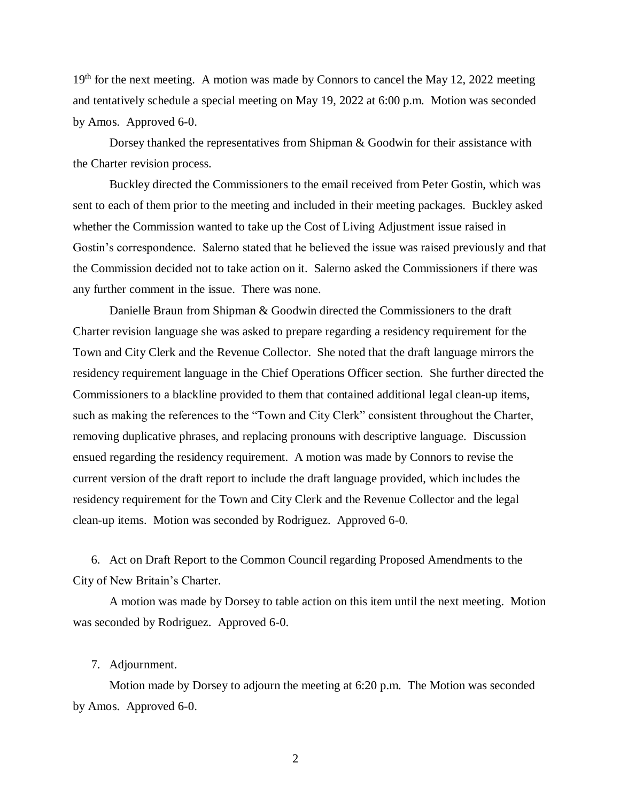$19<sup>th</sup>$  for the next meeting. A motion was made by Connors to cancel the May 12, 2022 meeting and tentatively schedule a special meeting on May 19, 2022 at 6:00 p.m. Motion was seconded by Amos. Approved 6-0.

Dorsey thanked the representatives from Shipman & Goodwin for their assistance with the Charter revision process.

Buckley directed the Commissioners to the email received from Peter Gostin, which was sent to each of them prior to the meeting and included in their meeting packages. Buckley asked whether the Commission wanted to take up the Cost of Living Adjustment issue raised in Gostin's correspondence. Salerno stated that he believed the issue was raised previously and that the Commission decided not to take action on it. Salerno asked the Commissioners if there was any further comment in the issue. There was none.

Danielle Braun from Shipman & Goodwin directed the Commissioners to the draft Charter revision language she was asked to prepare regarding a residency requirement for the Town and City Clerk and the Revenue Collector. She noted that the draft language mirrors the residency requirement language in the Chief Operations Officer section. She further directed the Commissioners to a blackline provided to them that contained additional legal clean-up items, such as making the references to the "Town and City Clerk" consistent throughout the Charter, removing duplicative phrases, and replacing pronouns with descriptive language. Discussion ensued regarding the residency requirement. A motion was made by Connors to revise the current version of the draft report to include the draft language provided, which includes the residency requirement for the Town and City Clerk and the Revenue Collector and the legal clean-up items. Motion was seconded by Rodriguez. Approved 6-0.

6. Act on Draft Report to the Common Council regarding Proposed Amendments to the City of New Britain's Charter.

A motion was made by Dorsey to table action on this item until the next meeting. Motion was seconded by Rodriguez. Approved 6-0.

7. Adjournment.

Motion made by Dorsey to adjourn the meeting at 6:20 p.m. The Motion was seconded by Amos. Approved 6-0.

2